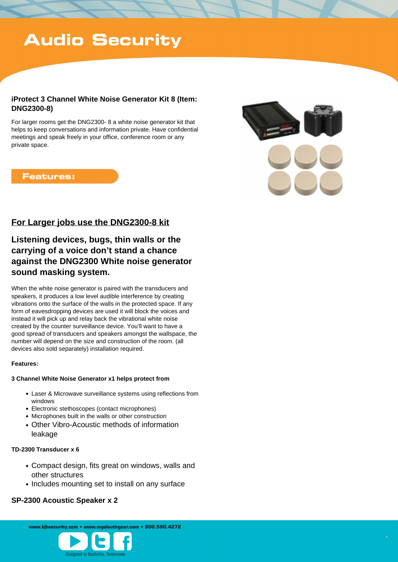# **Audio Security**

## **iProtect 3 Channel White Noise Generator Kit 8 (Item: DNG2300-8)**

For larger rooms get the DNG2300- 8 a white noise generator kit that helps to keep conversations and information private. Have confidential meetings and speak freely in your office, conference room or any private space.

## **Features:**



# **For Larger jobs use the DNG2300-8 kit**

# **Listening devices, bugs, thin walls or the carrying of a voice don't stand a chance against the DNG2300 White noise generator sound masking system.**

When the white noise generator is paired with the transducers and speakers, it produces a low level audible interference by creating vibrations onto the surface of the walls in the protected space. If any form of eavesdropping devices are used it will block the voices and instead it will pick up and relay back the vibrational white noise created by the counter surveillance device. You'll want to have a good spread of transducers and speakers amongst the wallspace, the number will depend on the size and construction of the room. (all devices also sold separately) installation required.

#### **Features:**

#### **3 Channel White Noise Generator x1 helps protect from**

- Laser & Microwave surveillance systems using reflections from windows
- Electronic stethoscopes (contact microphones)
- Microphones built in the walls or other construction
- Other Vibro-Acoustic methods of information leakage

#### **TD-2300 Transducer x 6**

- Compact design, fits great on windows, walls and other structures
- Includes mounting set to install on any surface

## **SP-2300 Acoustic Speaker x 2**

www.kibsecurity.com • www.mysleuthgear.com • 800.590.4272

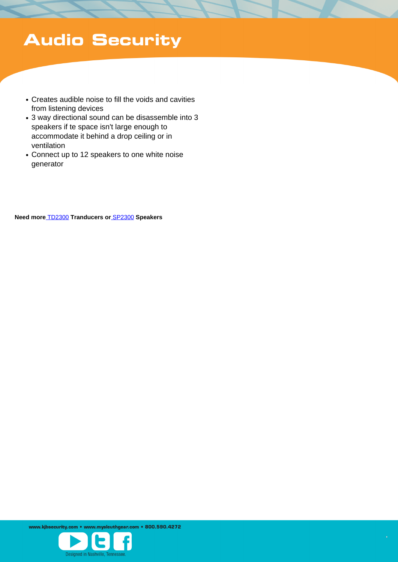# **Audio Security**

- Creates audible noise to fill the voids and cavities from listening devices
- 3 way directional sound can be disassemble into 3 speakers if te space isn't large enough to accommodate it behind a drop ceiling or in ventilation
- Connect up to 12 speakers to one white noise generator

 **Need more** [TD2300](/products/detail/transducer-for-white-noise-generator/1311/) **Tranducers or** [SP2300](/products/detail/omnidirectional-speaker-for-white-noise-generator/1312/) **Speakers**